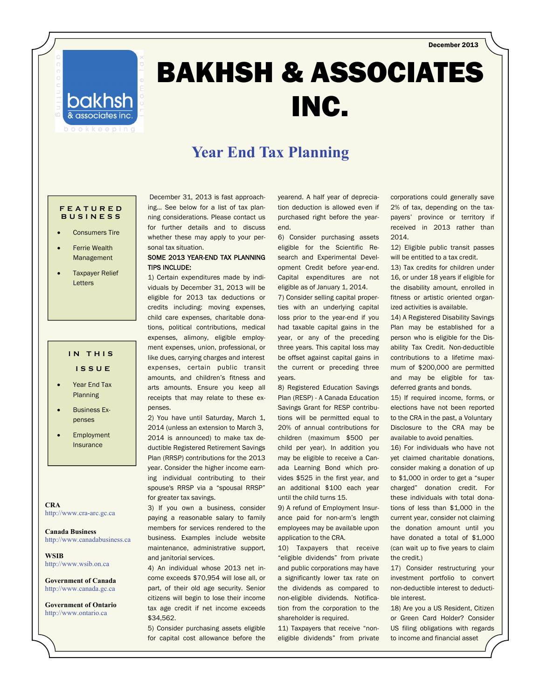December 2013



# BAKHSH & ASSOCIATES INC.

### **Year End Tax Planning**

#### **FEATURED BUSINESS**

- Consumers Tire
- Ferrie Wealth Management
- Taxpayer Relief Letters

### **IN THIS**

- **ISSUE**
- Year End Tax Planning
- Business Expenses
- Employment Insurance

**CRA**  http://www.cra-arc.gc.ca

**Canada Business**  http://www.canadabusiness.ca

**WSIB**  http://www.wsib.on.ca

**Government of Canada**  http://www.canada.gc.ca

**Government of Ontario**  http://www.ontario.ca

 December 31, 2013 is fast approaching… See below for a list of tax planning considerations. Please contact us for further details and to discuss whether these may apply to your personal tax situation.

#### SOME 2013 YEAR-END TAX PLANNING TIPS INCLUDE:

1) Certain expenditures made by individuals by December 31, 2013 will be eligible for 2013 tax deductions or credits including: moving expenses, child care expenses, charitable donations, political contributions, medical expenses, alimony, eligible employment expenses, union, professional, or like dues, carrying charges and interest expenses, certain public transit amounts, and children's fitness and arts amounts. Ensure you keep all receipts that may relate to these expenses.

2) You have until Saturday, March 1, 2014 (unless an extension to March 3, 2014 is announced) to make tax deductible Registered Retirement Savings Plan (RRSP) contributions for the 2013 year. Consider the higher income earning individual contributing to their spouse's RRSP via a "spousal RRSP" for greater tax savings.

3) If you own a business, consider paying a reasonable salary to family members for services rendered to the business. Examples include website maintenance, administrative support, and janitorial services.

4) An individual whose 2013 net income exceeds \$70,954 will lose all, or part, of their old age security. Senior citizens will begin to lose their income tax age credit if net income exceeds \$34,562.

5) Consider purchasing assets eligible for capital cost allowance before the yearend. A half year of depreciation deduction is allowed even if purchased right before the yearend.

6) Consider purchasing assets eligible for the Scientific Research and Experimental Development Credit before year-end. Capital expenditures are not eligible as of January 1, 2014.

7) Consider selling capital properties with an underlying capital loss prior to the year-end if you had taxable capital gains in the year, or any of the preceding three years. This capital loss may be offset against capital gains in the current or preceding three years.

8) Registered Education Savings Plan (RESP) - A Canada Education Savings Grant for RESP contributions will be permitted equal to 20% of annual contributions for children (maximum \$500 per child per year). In addition you may be eligible to receive a Canada Learning Bond which provides \$525 in the first year, and an additional \$100 each year until the child turns 15.

9) A refund of Employment Insurance paid for non-arm's length employees may be available upon application to the CRA.

10) Taxpayers that receive "eligible dividends" from private and public corporations may have a significantly lower tax rate on the dividends as compared to non-eligible dividends. Notification from the corporation to the shareholder is required.

11) Taxpayers that receive "noneligible dividends" from private corporations could generally save 2% of tax, depending on the taxpayers' province or territory if received in 2013 rather than 2014.

12) Eligible public transit passes will be entitled to a tax credit.

13) Tax credits for children under 16, or under 18 years if eligible for the disability amount, enrolled in fitness or artistic oriented organized activities is available.

14) A Registered Disability Savings Plan may be established for a person who is eligible for the Disability Tax Credit. Non-deductible contributions to a lifetime maximum of \$200,000 are permitted and may be eligible for taxdeferred grants and bonds.

15) If required income, forms, or elections have not been reported to the CRA in the past, a Voluntary Disclosure to the CRA may be available to avoid penalties.

16) For individuals who have not yet claimed charitable donations, consider making a donation of up to \$1,000 in order to get a "super charged" donation credit. For these individuals with total donations of less than \$1,000 in the current year, consider not claiming the donation amount until you have donated a total of \$1,000 (can wait up to five years to claim the credit.)

17) Consider restructuring your investment portfolio to convert non-deductible interest to deductible interest.

18) Are you a US Resident, Citizen or Green Card Holder? Consider US filing obligations with regards to income and financial asset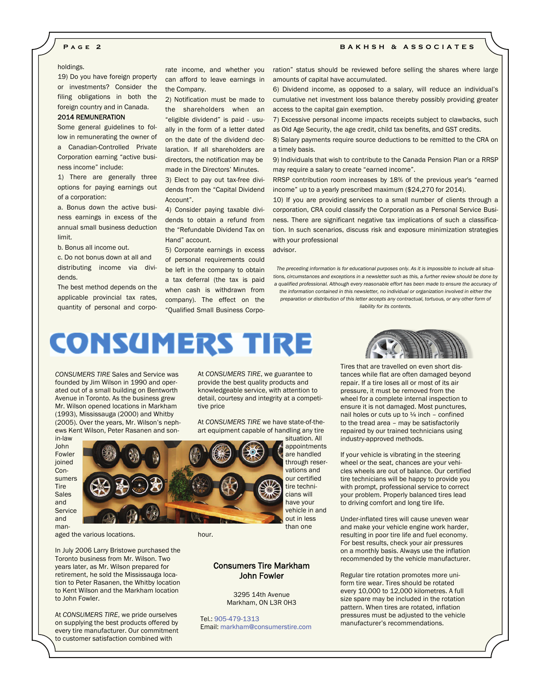#### **Page 2 BAKHSH & ASSOCIATES**

#### holdings.

19) Do you have foreign property or investments? Consider the filing obligations in both the foreign country and in Canada.

#### 2014 REMUNERATION

Some general guidelines to follow in remunerating the owner of

a Canadian-Controlled Private Corporation earning "active business income" include:

1) There are generally three options for paying earnings out of a corporation:

a. Bonus down the active business earnings in excess of the annual small business deduction limit.

b. Bonus all income out.

c. Do not bonus down at all and distributing income via dividends.

The best method depends on the applicable provincial tax rates, quantity of personal and corpo-

rate income, and whether you can afford to leave earnings in the Company.

2) Notification must be made to the shareholders when an "eligible dividend" is paid - usually in the form of a letter dated on the date of the dividend declaration. If all shareholders are directors, the notification may be made in the Directors' Minutes.

3) Elect to pay out tax-free dividends from the "Capital Dividend Account".

4) Consider paying taxable dividends to obtain a refund from the "Refundable Dividend Tax on Hand" account.

5) Corporate earnings in excess of personal requirements could be left in the company to obtain a tax deferral (the tax is paid when cash is withdrawn from company). The effect on the "Qualified Small Business Corporation" status should be reviewed before selling the shares where large amounts of capital have accumulated.

6) Dividend income, as opposed to a salary, will reduce an individual's cumulative net investment loss balance thereby possibly providing greater access to the capital gain exemption.

7) Excessive personal income impacts receipts subject to clawbacks, such as Old Age Security, the age credit, child tax benefits, and GST credits.

8) Salary payments require source deductions to be remitted to the CRA on a timely basis.

9) Individuals that wish to contribute to the Canada Pension Plan or a RRSP may require a salary to create "earned income".

RRSP contribution room increases by 18% of the previous year's "earned income" up to a yearly prescribed maximum (\$24,270 for 2014).

10) If you are providing services to a small number of clients through a corporation, CRA could classify the Corporation as a Personal Service Business. There are significant negative tax implications of such a classification. In such scenarios, discuss risk and exposure minimization strategies with your professional

advisor.

*The preceding information is for educational purposes only. As it is impossible to include all situations, circumstances and exceptions in a newsletter such as this, a further review should be done by a qualified professional. Although every reasonable effort has been made to ensure the accuracy of the information contained in this newsletter, no individual or organization involved in either the preparation or distribution of this letter accepts any contractual, tortuous, or any other form of* 

*liability for its contents.* 

## **CONSUMERS TIRE**

*CONSUMERS TIRE* Sales and Service was founded by Jim Wilson in 1990 and operated out of a small building on Bentworth Avenue in Toronto. As the business grew Mr. Wilson opened locations in Markham (1993), Mississauga (2000) and Whitby (2005). Over the years, Mr. Wilson's nephews Kent Wilson, Peter Rasanen and son-

in-law John Fowler ioined Consumers Tire Sales and **Service** and man-

aged the various locations.

In July 2006 Larry Bristowe purchased the Toronto business from Mr. Wilson. Two years later, as Mr. Wilson prepared for retirement, he sold the Mississauga location to Peter Rasanen, the Whitby location to Kent Wilson and the Markham location to John Fowler.

At *CONSUMERS TIRE*, we pride ourselves on supplying the best products offered by every tire manufacturer. Our commitment to customer satisfaction combined with

At *CONSUMERS TIRE*, we guarantee to provide the best quality products and knowledgeable service, with attention to detail, courtesy and integrity at a competitive price

At *CONSUMERS TIRE* we have state-of-theart equipment capable of handling any tire

> appointments are handled through reservations and our certified tire technicians will have your vehicle in and out in less than one

situation. All

hour.

#### Consumers Tire Markham John Fowler

 3295 14th Avenue Markham, ON L3R 0H3

Tel.: 905-479-1313 Email: markham@consumerstire.com



Tires that are travelled on even short distances while flat are often damaged beyond repair. If a tire loses all or most of its air pressure, it must be removed from the wheel for a complete internal inspection to ensure it is not damaged. Most punctures, nail holes or cuts up to  $\frac{1}{4}$  inch - confined to the tread area – may be satisfactorily repaired by our trained technicians using industry-approved methods.

If your vehicle is vibrating in the steering wheel or the seat, chances are your vehicles wheels are out of balance. Our certified tire technicians will be happy to provide you with prompt, professional service to correct your problem. Properly balanced tires lead to driving comfort and long tire life.

Under-inflated tires will cause uneven wear and make your vehicle engine work harder, resulting in poor tire life and fuel economy. For best results, check your air pressures on a monthly basis. Always use the inflation recommended by the vehicle manufacturer.

Regular tire rotation promotes more uniform tire wear. Tires should be rotated every 10,000 to 12,000 kilometres. A full size spare may be included in the rotation pattern. When tires are rotated, inflation pressures must be adjusted to the vehicle manufacturer's recommendations.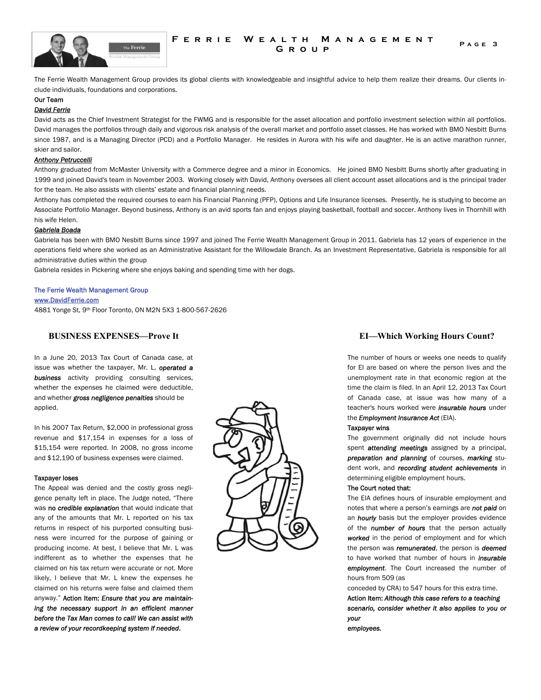

#### **FERRIE WEALTH MANAGEMENT** PAGE 3 **Group**

The Ferrie Wealth Management Group provides its global clients with knowledgeable and insightful advice to help them realize their dreams. Our clients include individuals, foundations and corporations.

#### Our Team

#### *David Ferrie*

David acts as the Chief Investment Strategist for the FWMG and is responsible for the asset allocation and portfolio investment selection within all portfolios. David manages the portfolios through daily and vigorous risk analysis of the overall market and portfolio asset classes. He has worked with BMO Nesbitt Burns since 1987, and is a Managing Director (PCD) and a Portfolio Manager. He resides in Aurora with his wife and daughter. He is an active marathon runner, skier and sailor.

#### *Anthony Petruccelli*

Anthony graduated from McMaster University with a Commerce degree and a minor in Economics. He joined BMO Nesbitt Burns shortly after graduating in 1999 and joined David's team in November 2003. Working closely with David, Anthony oversees all client account asset allocations and is the principal trader for the team. He also assists with clients' estate and financial planning needs.

Anthony has completed the required courses to earn his Financial Planning (PFP), Options and Life Insurance licenses. Presently, he is studying to become an Associate Portfolio Manager. Beyond business, Anthony is an avid sports fan and enjoys playing basketball, football and soccer. Anthony lives in Thornhill with his wife Helen.

#### *Gabriela Boada*

Gabriela has been with BMO Nesbitt Burns since 1997 and joined The Ferrie Wealth Management Group in 2011. Gabriela has 12 years of experience in the operations field where she worked as an Administrative Assistant for the Willowdale Branch. As an Investment Representative, Gabriela is responsible for all administrative duties within the group

Gabriela resides in Pickering where she enjoys baking and spending time with her dogs.

#### The Ferrie Wealth Management Group

[www.DavidFerrie.com](http://www.davidferrie.com/)

4881 Yonge St, 9th Floor Toronto, ON M2N 5X3 1-800-567-2626

#### **BUSINESS EXPENSES—Prove It**

In a June 20, 2013 Tax Court of Canada case, at issue was whether the taxpayer, Mr. L, *operated a business* activity providing consulting services, whether the expenses he claimed were deductible, and whether *gross negligence penalties* should be applied.

In his 2007 Tax Return, \$2,000 in professional gross revenue and \$17,154 in expenses for a loss of \$15,154 were reported. In 2008, no gross income and \$12,190 of business expenses were claimed.

#### Taxpayer loses

The Appeal was denied and the costly gross negligence penalty left in place. The Judge noted, "There was no *credible explanation* that would indicate that any of the amounts that Mr. L reported on his tax returns in respect of his purported consulting business were incurred for the purpose of gaining or producing income. At best, I believe that Mr. L was indifferent as to whether the expenses that he claimed on his tax return were accurate or not. More likely, I believe that Mr. L knew the expenses he claimed on his returns were false and claimed them anyway." Action Item: *Ensure that you are maintaining the necessary support in an efficient manner before the Tax Man comes to call! We can assist with a review of your recordkeeping system if needed*.



#### **EI—Which Working Hours Count?**

The number of hours or weeks one needs to qualify for EI are based on where the person lives and the unemployment rate in that economic region at the time the claim is filed. In an April 12, 2013 Tax Court of Canada case, at issue was how many of a teacher's hours worked were *insurable hours* under the *Employment Insurance Act* (EIA).

#### Taxpayer wins

The government originally did not include hours spent *attending meetings* assigned by a principal, *preparation and planning* of courses, *marking* student work, and *recording student achievements* in determining eligible employment hours.

#### The Court noted that:

The EIA defines hours of insurable employment and notes that where a person's earnings are *not paid* on an *hourly* basis but the employer provides evidence of the *number of hours* that the person actually *worked* in the period of employment and for which the person was *remunerated*, the person is *deemed*  to have worked that number of hours in *insurable employment*. The Court increased the number of hours from 509 (as

conceded by CRA) to 547 hours for this extra time. Action Item: *Although this case refers to a teaching scenario, consider whether it also applies to you or your* 

*employees.*